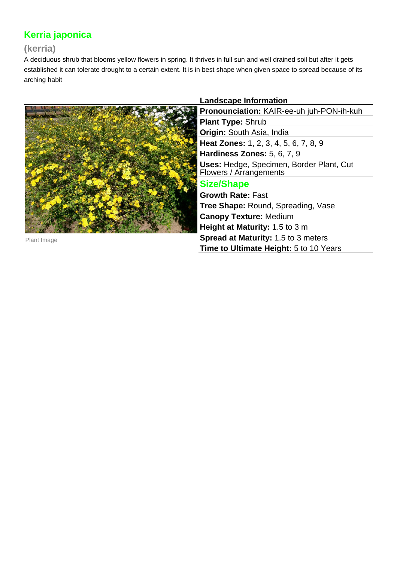# **Kerria japonica**

# **(kerria)**

A deciduous shrub that blooms yellow flowers in spring. It thrives in full sun and well drained soil but after it gets established it can tolerate drought to a certain extent. It is in best shape when given space to spread because of its arching habit



Plant Image

## **Landscape Information**

**Pronounciation:** KAIR-ee-uh juh-PON-ih-kuh **Plant Type:** Shrub **Origin:** South Asia, India **Heat Zones:** 1, 2, 3, 4, 5, 6, 7, 8, 9 **Hardiness Zones:** 5, 6, 7, 9 **Uses:** Hedge, Specimen, Border Plant, Cut Flowers / Arrangements **Size/Shape Growth Rate:** Fast

**Tree Shape:** Round, Spreading, Vase **Canopy Texture:** Medium **Height at Maturity:** 1.5 to 3 m **Spread at Maturity:** 1.5 to 3 meters **Time to Ultimate Height:** 5 to 10 Years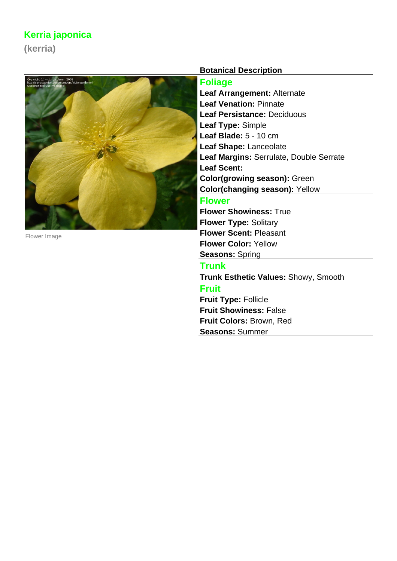# **Kerria japonica**

**(kerria)**



Flower Image

### **Botanical Description**

### **Foliage**

**Leaf Arrangement:** Alternate **Leaf Venation:** Pinnate **Leaf Persistance:** Deciduous **Leaf Type:** Simple **Leaf Blade:** 5 - 10 cm **Leaf Shape:** Lanceolate **Leaf Margins:** Serrulate, Double Serrate **Leaf Scent: Color(growing season):** Green **Color(changing season):** Yellow **Flower Flower Showiness:** True

**Flower Type:** Solitary **Flower Scent:** Pleasant **Flower Color:** Yellow **Seasons:** Spring

## **Trunk**

**Trunk Esthetic Values:** Showy, Smooth

## **Fruit**

**Fruit Type:** Follicle **Fruit Showiness:** False **Fruit Colors:** Brown, Red **Seasons:** Summer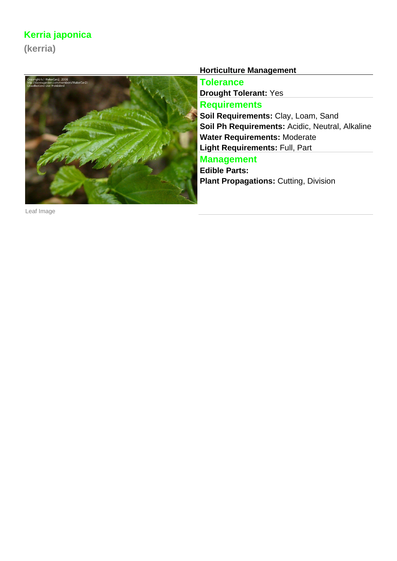# **Kerria japonica**

**(kerria)**



**Horticulture Management**

**Tolerance Drought Tolerant:** Yes **Requirements Soil Requirements:** Clay, Loam, Sand **Soil Ph Requirements:** Acidic, Neutral, Alkaline **Water Requirements:** Moderate **Light Requirements:** Full, Part **Management**

**Edible Parts: Plant Propagations: Cutting, Division** 

Leaf Image